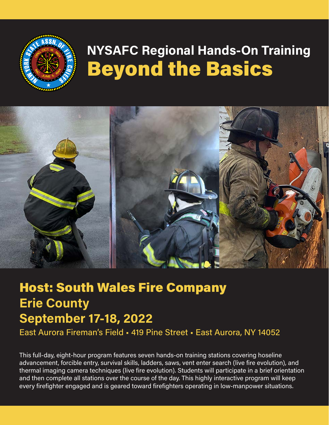

# **NYSAFC Regional Hands-On Training**  Beyond the Basics



## Host: South Wales Fire Company **Erie County September 17-18, 2022**

East Aurora Fireman's Field • 419 Pine Street • East Aurora, NY 14052

This full-day, eight-hour program features seven hands-on training stations covering hoseline advancement, forcible entry, survival skills, ladders, saws, vent enter search (live fire evolution), and thermal imaging camera techniques (live fire evolution). Students will participate in a brief orientation and then complete all stations over the course of the day. This highly interactive program will keep every firefighter engaged and is geared toward firefighters operating in low-manpower situations.